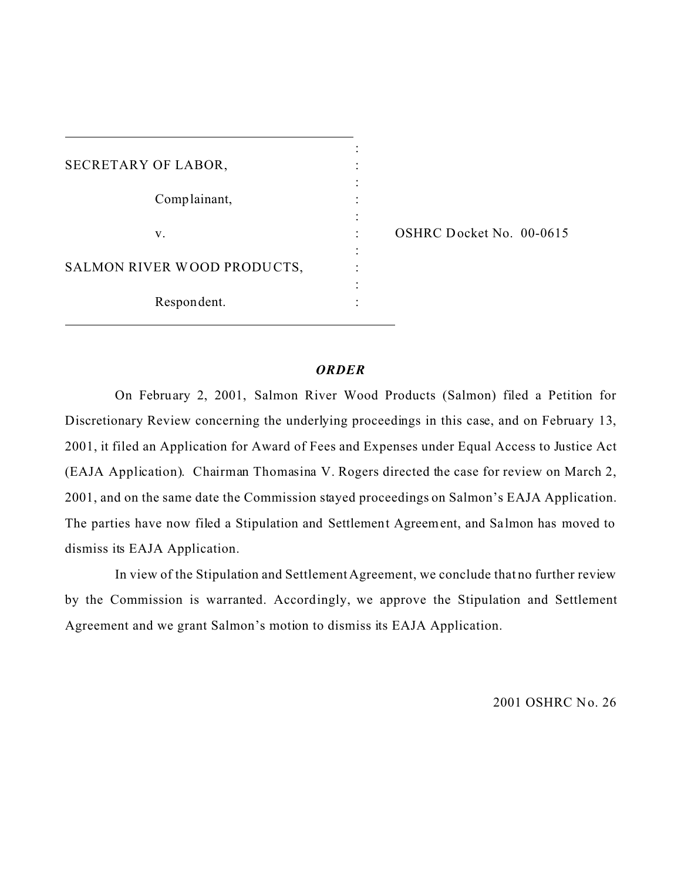| SECRETARY OF LABOR,         |  |
|-----------------------------|--|
|                             |  |
| Complainant,                |  |
|                             |  |
| V.                          |  |
| SALMON RIVER WOOD PRODUCTS, |  |
|                             |  |
| Respondent.                 |  |
|                             |  |

OSHRC Docket No. 00-0615

## *ORDER*

On February 2, 2001, Salmon River Wood Products (Salmon) filed a Petition for Discretionary Review concerning the underlying proceedings in this case, and on February 13, 2001, it filed an Application for Award of Fees and Expenses under Equal Access to Justice Act (EAJA Application). Chairman Thomasina V. Rogers directed the case for review on March 2, 2001, and on the same date the Commission stayed proceedings on Salmon's EAJA Application. The parties have now filed a Stipulation and Settlement Agreement, and Sa lmon has moved to dismiss its EAJA Application.

In view of the Stipulation and Settlement Agreement, we conclude that no further review by the Commission is warranted. Accordingly, we approve the Stipulation and Settlement Agreement and we grant Salmon's motion to dismiss its EAJA Application.

2001 OSHRC No. 26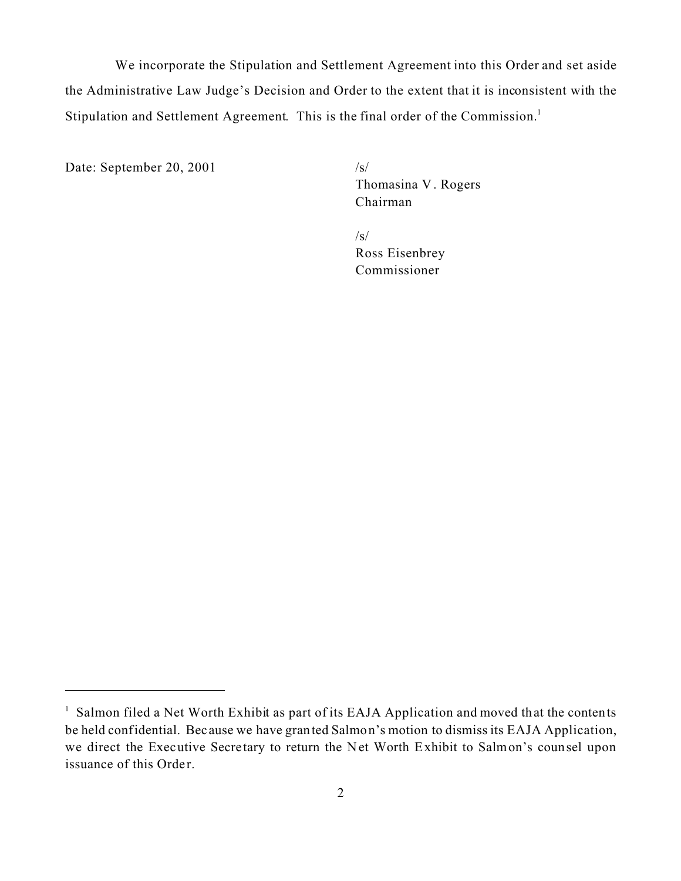We incorporate the Stipulation and Settlement Agreement into this Order and set aside the Administrative Law Judge's Decision and Order to the extent that it is inconsistent with the Stipulation and Settlement Agreement. This is the final order of the Commission.<sup>1</sup>

Date: September 20, 2001 /s/

Thomasina V . Rogers Chairman

 $\sqrt{s}$ Ross Eisenbrey Commissioner

<sup>&</sup>lt;sup>1</sup> Salmon filed a Net Worth Exhibit as part of its EAJA Application and moved that the contents be held confidential. Because we have granted Salmon's motion to dismiss its EAJA Application, we direct the Executive Secre tary to return the Net Worth Exhibit to Salmon's counsel upon issuance of this Order.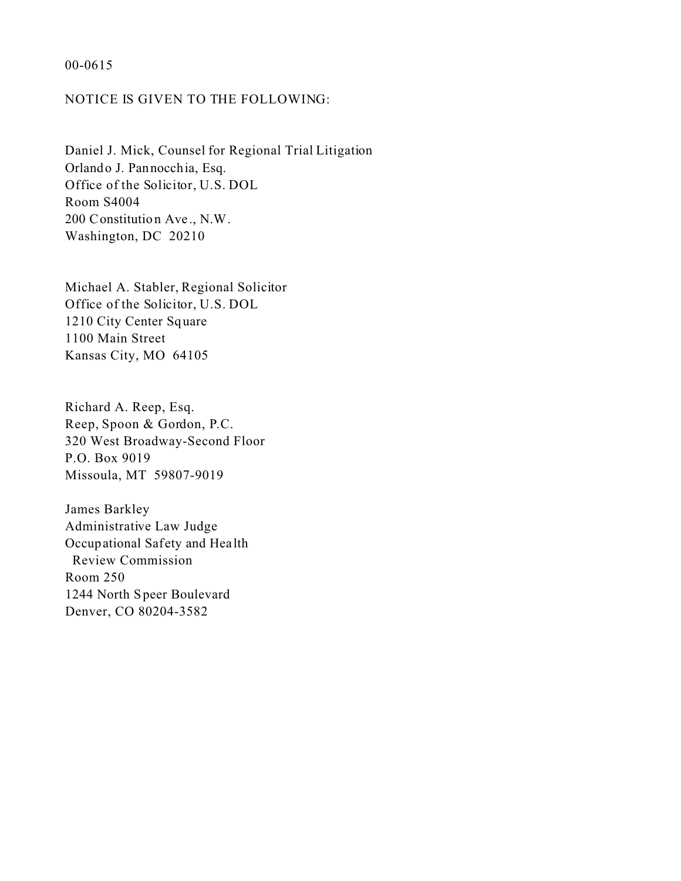#### 00-0615

# NOTICE IS GIVEN TO THE FOLLOWING:

Daniel J. Mick, Counsel for Regional Trial Litigation Orlando J. Pannocchia, Esq. Office of the Solicitor, U.S. DOL Room S4004 200 Constitution Ave ., N.W. Washington, DC 20210

Michael A. Stabler, Regional Solicitor Office of the Solicitor, U.S. DOL 1210 City Center Square 1100 Main Street Kansas City, MO 64105

Richard A. Reep, Esq. Reep, Spoon & Gordon, P.C. 320 West Broadway-Second Floor P.O. Box 9019 Missoula, MT 59807-9019

James Barkley Administrative Law Judge Occupational Safety and Hea lth Review Commission Room 250 1244 North Speer Boulevard Denver, CO 80204-3582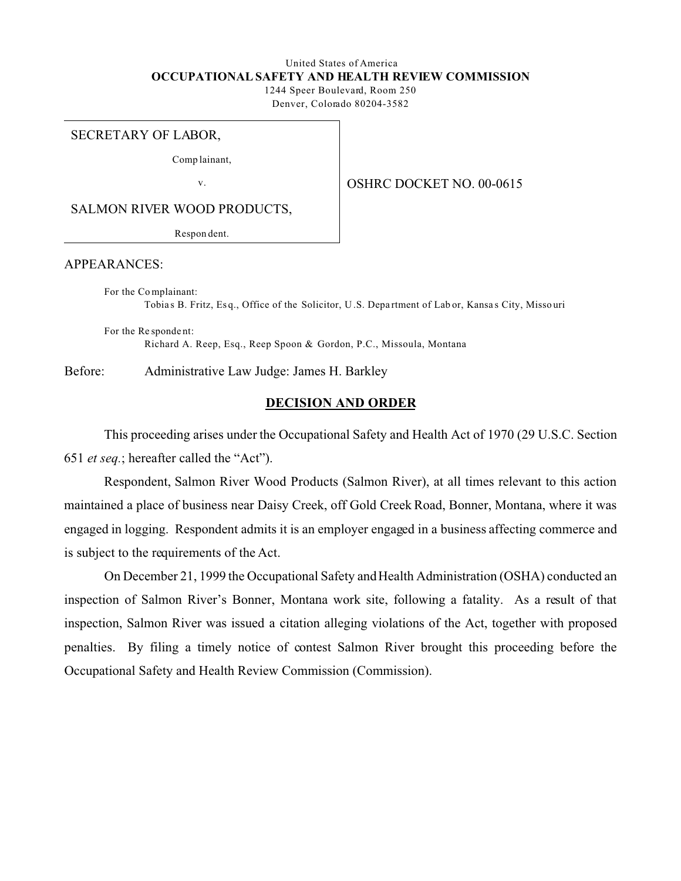# United States of America **OCCUPATIONAL SAFETY AND HEALTH REVIEW COMMISSION**

1244 Speer Boulevard, Room 250 Denver, Colorado 80204-3582

#### SECRETARY OF LABOR,

Comp lainant,

v.

OSHRC DOCKET NO. 00-0615

SALMON RIVER WOOD PRODUCTS,

Respon dent.

APPEARANCES:

For the Co mplainant: Tobia s B. Fritz, Es q., Office of the Solicitor, U .S. Depa rtment of Lab or, Kansa s City, Misso uri

For the Re sponde nt: Richard A. Reep, Esq., Reep Spoon & Gordon, P.C., Missoula, Montana

Before: Administrative Law Judge: James H. Barkley

#### **DECISION AND ORDER**

This proceeding arises under the Occupational Safety and Health Act of 1970 (29 U.S.C. Section 651 *et seq.*; hereafter called the "Act").

Respondent, Salmon River Wood Products (Salmon River), at all times relevant to this action maintained a place of business near Daisy Creek, off Gold Creek Road, Bonner, Montana, where it was engaged in logging. Respondent admits it is an employer engaged in a business affecting commerce and is subject to the requirements of the Act.

On December 21, 1999 the Occupational Safety and Health Administration (OSHA) conducted an inspection of Salmon River's Bonner, Montana work site, following a fatality. As a result of that inspection, Salmon River was issued a citation alleging violations of the Act, together with proposed penalties. By filing a timely notice of contest Salmon River brought this proceeding before the Occupational Safety and Health Review Commission (Commission).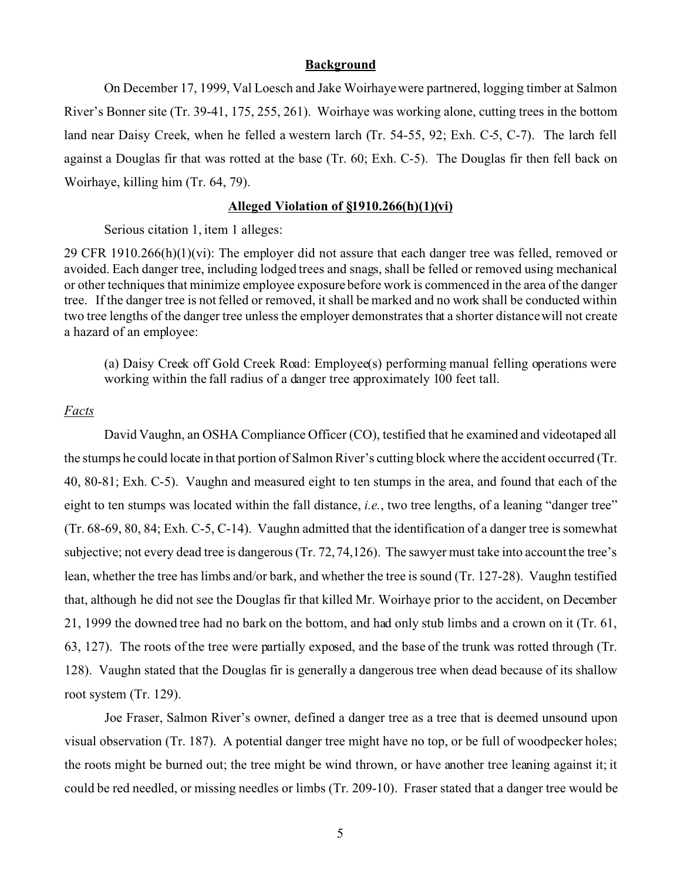#### **Background**

On December 17, 1999, Val Loesch and Jake Woirhaye were partnered, logging timber at Salmon River's Bonner site (Tr. 39-41, 175, 255, 261). Woirhaye was working alone, cutting trees in the bottom land near Daisy Creek, when he felled a western larch (Tr. 54-55, 92; Exh. C-5, C-7). The larch fell against a Douglas fir that was rotted at the base (Tr. 60; Exh. C-5). The Douglas fir then fell back on Woirhaye, killing him (Tr. 64, 79).

#### **Alleged Violation of §1910.266(h)(1)(vi)**

Serious citation 1, item 1 alleges:

29 CFR 1910.266(h)(1)(vi): The employer did not assure that each danger tree was felled, removed or avoided. Each danger tree, including lodged trees and snags, shall be felled or removed using mechanical or other techniques that minimize employee exposure before work is commenced in the area of the danger tree. If the danger tree is not felled or removed, it shall be marked and no work shall be conducted within two tree lengths of the danger tree unless the employer demonstrates that a shorter distance will not create a hazard of an employee:

(a) Daisy Creek off Gold Creek Road: Employee(s) performing manual felling operations were working within the fall radius of a danger tree approximately 100 feet tall.

#### *Facts*

David Vaughn, an OSHA Compliance Officer (CO), testified that he examined and videotaped all the stumps he could locate in that portion of Salmon River's cutting block where the accident occurred (Tr. 40, 80-81; Exh. C-5). Vaughn and measured eight to ten stumps in the area, and found that each of the eight to ten stumps was located within the fall distance, *i.e.*, two tree lengths, of a leaning "danger tree" (Tr. 68-69, 80, 84; Exh. C-5, C-14). Vaughn admitted that the identification of a danger tree is somewhat subjective; not every dead tree is dangerous (Tr. 72, 74,126). The sawyer must take into account the tree's lean, whether the tree has limbs and/or bark, and whether the tree is sound (Tr. 127-28). Vaughn testified that, although he did not see the Douglas fir that killed Mr. Woirhaye prior to the accident, on December 21, 1999 the downed tree had no bark on the bottom, and had only stub limbs and a crown on it (Tr. 61, 63, 127). The roots of the tree were partially exposed, and the base of the trunk was rotted through (Tr. 128). Vaughn stated that the Douglas fir is generally a dangerous tree when dead because of its shallow root system (Tr. 129).

Joe Fraser, Salmon River's owner, defined a danger tree as a tree that is deemed unsound upon visual observation (Tr. 187). A potential danger tree might have no top, or be full of woodpecker holes; the roots might be burned out; the tree might be wind thrown, or have another tree leaning against it; it could be red needled, or missing needles or limbs (Tr. 209-10). Fraser stated that a danger tree would be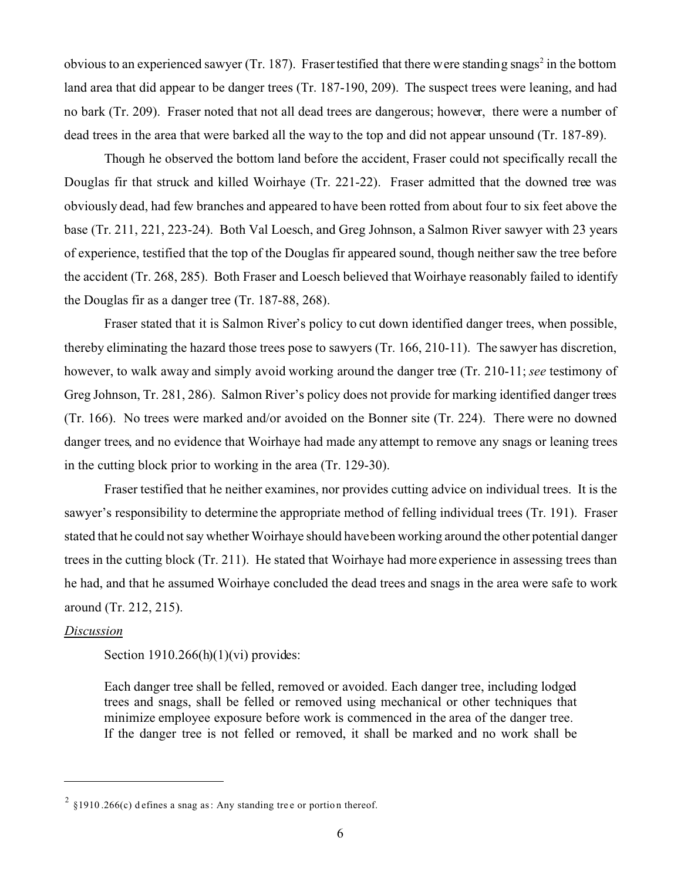obvious to an experienced sawyer (Tr. 187). Fraser testified that there were standing snags<sup>2</sup> in the bottom land area that did appear to be danger trees (Tr. 187-190, 209). The suspect trees were leaning, and had no bark (Tr. 209). Fraser noted that not all dead trees are dangerous; however, there were a number of dead trees in the area that were barked all the way to the top and did not appear unsound (Tr. 187-89).

Though he observed the bottom land before the accident, Fraser could not specifically recall the Douglas fir that struck and killed Woirhaye (Tr. 221-22). Fraser admitted that the downed tree was obviously dead, had few branches and appeared to have been rotted from about four to six feet above the base (Tr. 211, 221, 223-24). Both Val Loesch, and Greg Johnson, a Salmon River sawyer with 23 years of experience, testified that the top of the Douglas fir appeared sound, though neither saw the tree before the accident (Tr. 268, 285). Both Fraser and Loesch believed that Woirhaye reasonably failed to identify the Douglas fir as a danger tree (Tr. 187-88, 268).

Fraser stated that it is Salmon River's policy to cut down identified danger trees, when possible, thereby eliminating the hazard those trees pose to sawyers (Tr. 166, 210-11). The sawyer has discretion, however, to walk away and simply avoid working around the danger tree (Tr. 210-11; *see* testimony of Greg Johnson, Tr. 281, 286). Salmon River's policy does not provide for marking identified danger trees (Tr. 166). No trees were marked and/or avoided on the Bonner site (Tr. 224). There were no downed danger trees, and no evidence that Woirhaye had made any attempt to remove any snags or leaning trees in the cutting block prior to working in the area (Tr. 129-30).

Fraser testified that he neither examines, nor provides cutting advice on individual trees. It is the sawyer's responsibility to determine the appropriate method of felling individual trees (Tr. 191). Fraser stated that he could not say whether Woirhaye should havebeen working around the other potential danger trees in the cutting block (Tr. 211). He stated that Woirhaye had more experience in assessing trees than he had, and that he assumed Woirhaye concluded the dead trees and snags in the area were safe to work around (Tr. 212, 215).

### *Discussion*

Section  $1910.266(h)(1)(vi)$  provides:

Each danger tree shall be felled, removed or avoided. Each danger tree, including lodged trees and snags, shall be felled or removed using mechanical or other techniques that minimize employee exposure before work is commenced in the area of the danger tree. If the danger tree is not felled or removed, it shall be marked and no work shall be

<sup>&</sup>lt;sup>2</sup> §1910.266(c) d efines a snag as: Any standing tree or portion thereof.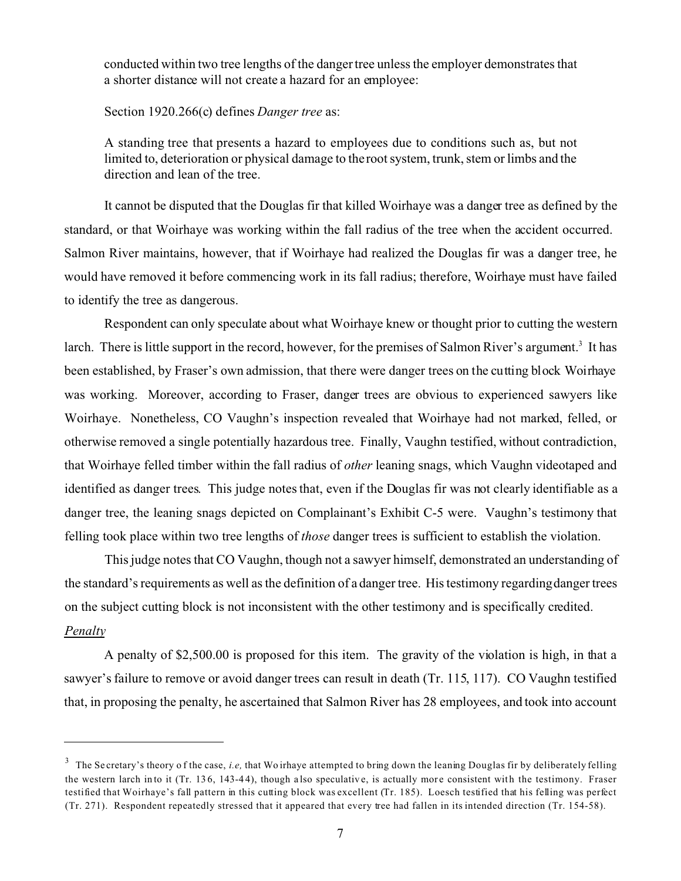conducted within two tree lengths of the danger tree unless the employer demonstrates that a shorter distance will not create a hazard for an employee:

Section 1920.266(c) defines *Danger tree* as:

A standing tree that presents a hazard to employees due to conditions such as, but not limited to, deterioration or physical damage to the root system, trunk, stem or limbs and the direction and lean of the tree.

It cannot be disputed that the Douglas fir that killed Woirhaye was a danger tree as defined by the standard, or that Woirhaye was working within the fall radius of the tree when the accident occurred. Salmon River maintains, however, that if Woirhaye had realized the Douglas fir was a danger tree, he would have removed it before commencing work in its fall radius; therefore, Woirhaye must have failed to identify the tree as dangerous.

Respondent can only speculate about what Woirhaye knew or thought prior to cutting the western larch. There is little support in the record, however, for the premises of Salmon River's argument.<sup>3</sup> It has been established, by Fraser's own admission, that there were danger trees on the cutting block Woirhaye was working. Moreover, according to Fraser, danger trees are obvious to experienced sawyers like Woirhaye. Nonetheless, CO Vaughn's inspection revealed that Woirhaye had not marked, felled, or otherwise removed a single potentially hazardous tree. Finally, Vaughn testified, without contradiction, that Woirhaye felled timber within the fall radius of *other* leaning snags, which Vaughn videotaped and identified as danger trees. This judge notes that, even if the Douglas fir was not clearly identifiable as a danger tree, the leaning snags depicted on Complainant's Exhibit C-5 were. Vaughn's testimony that felling took place within two tree lengths of *those* danger trees is sufficient to establish the violation.

This judge notes that CO Vaughn, though not a sawyer himself, demonstrated an understanding of the standard's requirements as well as the definition of a danger tree. His testimony regardingdanger trees on the subject cutting block is not inconsistent with the other testimony and is specifically credited. *Penalty* 

A penalty of \$2,500.00 is proposed for this item. The gravity of the violation is high, in that a sawyer's failure to remove or avoid danger trees can result in death (Tr. 115, 117). CO Vaughn testified that, in proposing the penalty, he ascertained that Salmon River has 28 employees, and took into account

<sup>&</sup>lt;sup>3</sup> The Se cretary's theory of the case, *i.e,* that Wo irhaye attempted to bring down the leaning Douglas fir by deliberately felling the western larch into it (Tr. 136, 143-44), though also speculative, is actually more consistent with the testimony. Fraser testified that Woirhaye's fall pattern in this cutting block was excellent (Tr. 185). Loesch testified that his felling was perfect (Tr. 271). Respondent repeatedly stressed that it appeared that every tree had fallen in its intended direction (Tr. 154-58).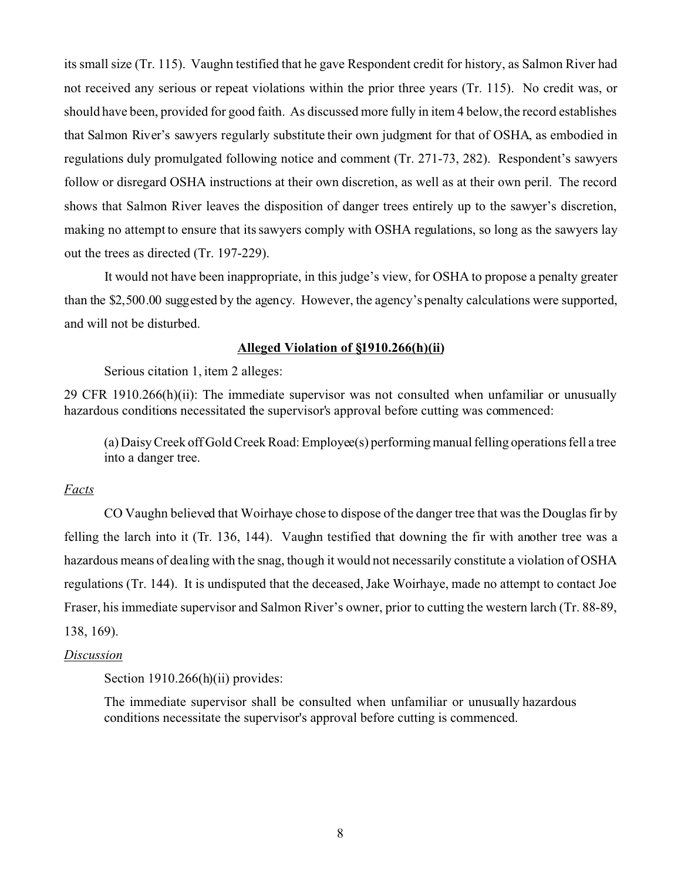its small size (Tr. 115). Vaughn testified that he gave Respondent credit for history, as Salmon River had not received any serious or repeat violations within the prior three years (Tr. 115). No credit was, or should have been, provided for good faith. As discussed more fully in item 4 below, the record establishes that Salmon River's sawyers regularly substitute their own judgment for that of OSHA, as embodied in regulations duly promulgated following notice and comment (Tr. 271-73, 282). Respondent's sawyers follow or disregard OSHA instructions at their own discretion, as well as at their own peril. The record shows that Salmon River leaves the disposition of danger trees entirely up to the sawyer's discretion, making no attempt to ensure that its sawyers comply with OSHA regulations, so long as the sawyers lay out the trees as directed (Tr. 197-229).

It would not have been inappropriate, in this judge's view, for OSHA to propose a penalty greater than the \$2,500.00 suggested by the agency. However, the agency's penalty calculations were supported, and will not be disturbed.

### **Alleged Violation of §1910.266(h)(ii)**

Serious citation 1, item 2 alleges:

29 CFR 1910.266(h)(ii): The immediate supervisor was not consulted when unfamiliar or unusually hazardous conditions necessitated the supervisor's approval before cutting was commenced:

(a) Daisy Creek off Gold Creek Road: Employee(s) performing manual felling operations fell a tree into a danger tree.

### *Facts*

CO Vaughn believed that Woirhaye chose to dispose of the danger tree that was the Douglas fir by felling the larch into it (Tr. 136, 144). Vaughn testified that downing the fir with another tree was a hazardous means of dealing with the snag, though it would not necessarily constitute a violation of OSHA regulations (Tr. 144). It is undisputed that the deceased, Jake Woirhaye, made no attempt to contact Joe Fraser, his immediate supervisor and Salmon River's owner, prior to cutting the western larch (Tr. 88-89, 138, 169).

#### *Discussion*

Section 1910.266(h)(ii) provides:

The immediate supervisor shall be consulted when unfamiliar or unusually hazardous conditions necessitate the supervisor's approval before cutting is commenced.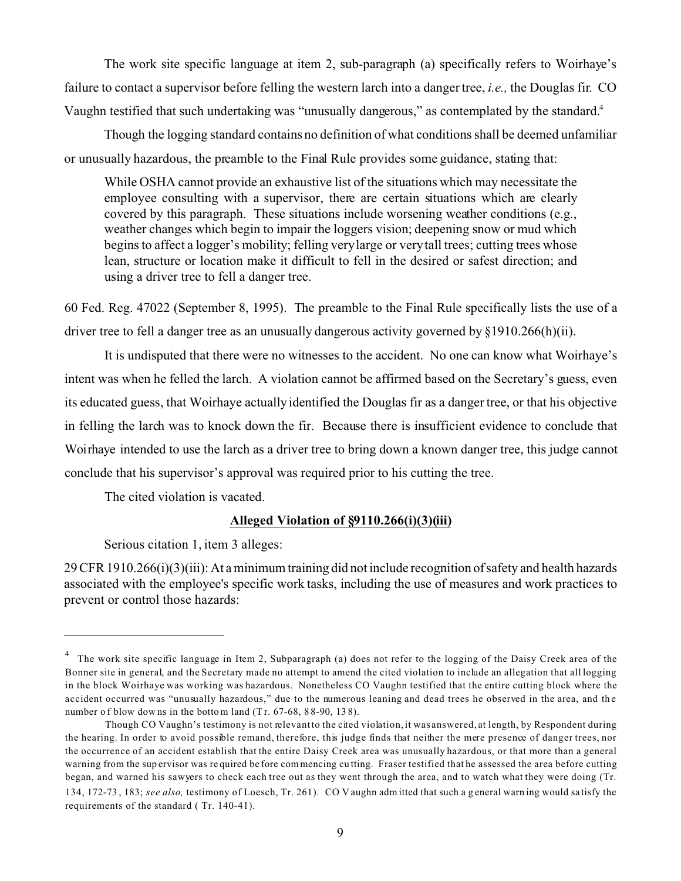The work site specific language at item 2, sub-paragraph (a) specifically refers to Woirhaye's failure to contact a supervisor before felling the western larch into a danger tree, *i.e.,* the Douglas fir. CO Vaughn testified that such undertaking was "unusually dangerous," as contemplated by the standard.4

Though the logging standard contains no definition of what conditions shall be deemed unfamiliar or unusually hazardous, the preamble to the Final Rule provides some guidance, stating that:

While OSHA cannot provide an exhaustive list of the situations which may necessitate the employee consulting with a supervisor, there are certain situations which are clearly covered by this paragraph. These situations include worsening weather conditions (e.g., weather changes which begin to impair the loggers vision; deepening snow or mud which begins to affect a logger's mobility; felling very large or very tall trees; cutting trees whose lean, structure or location make it difficult to fell in the desired or safest direction; and using a driver tree to fell a danger tree.

60 Fed. Reg. 47022 (September 8, 1995). The preamble to the Final Rule specifically lists the use of a driver tree to fell a danger tree as an unusually dangerous activity governed by  $\S 1910.266(h)(ii)$ .

It is undisputed that there were no witnesses to the accident. No one can know what Woirhaye's intent was when he felled the larch. A violation cannot be affirmed based on the Secretary's guess, even its educated guess, that Woirhaye actually identified the Douglas fir as a danger tree, or that his objective in felling the larch was to knock down the fir. Because there is insufficient evidence to conclude that Woirhaye intended to use the larch as a driver tree to bring down a known danger tree, this judge cannot conclude that his supervisor's approval was required prior to his cutting the tree.

The cited violation is vacated.

# **Alleged Violation of §9110.266(i)(3)(iii)**

Serious citation 1, item 3 alleges:

29 CFR 1910.266(i)(3)(iii): At a minimum training did not include recognition of safety and health hazards associated with the employee's specific work tasks, including the use of measures and work practices to prevent or control those hazards:

<sup>&</sup>lt;sup>4</sup> The work site specific language in Item 2, Subparagraph (a) does not refer to the logging of the Daisy Creek area of the Bonner site in general, and the Secretary made no attempt to amend the cited violation to include an allegation that all logging in the block Woirhaye was working was hazardous. Nonetheless CO Vaughn testified that the entire cutting block where the accident occurred was "unusually hazardous," due to the numerous leaning and dead trees he observed in the area, and the number of blow downs in the bottom land (Tr. 67-68, 88-90, 138).

Though CO Vaughn's testimony is not relevant to the cited violation, it was answered, at length, by Respondent during the hearing. In order to avoid possible remand, therefore, this judge finds that neither the mere presence of danger trees, nor the occurrence of an accident establish that the entire Daisy Creek area was unusually hazardous, or that more than a general warning from the sup ervisor was re quired be fore com mencing cu tting. Fraser testified that he assessed the area before cutting began, and warned his sawyers to check each tree out as they went through the area, and to watch what they were doing (Tr.

<sup>134, 172-73 , 183;</sup> *see also,* testimony of Loesch, Tr. 261). CO V aughn adm itted that such a g eneral warn ing would sa tisfy the requirements of the standard ( Tr. 140-41).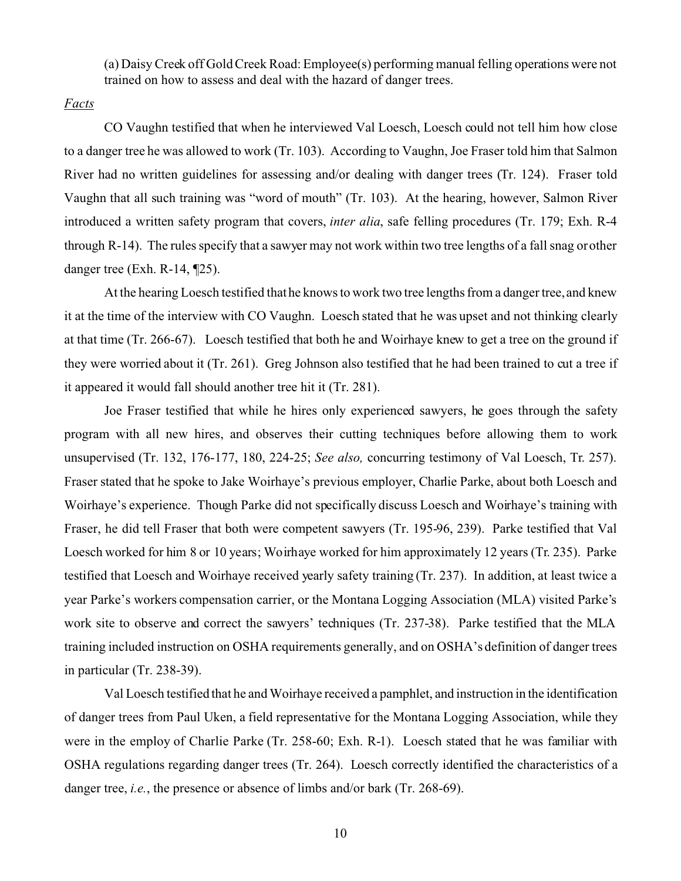(a) Daisy Creek off Gold Creek Road: Employee(s) performing manual felling operations were not trained on how to assess and deal with the hazard of danger trees.

### *Facts*

CO Vaughn testified that when he interviewed Val Loesch, Loesch could not tell him how close to a danger tree he was allowed to work (Tr. 103). According to Vaughn, Joe Fraser told him that Salmon River had no written guidelines for assessing and/or dealing with danger trees (Tr. 124). Fraser told Vaughn that all such training was "word of mouth" (Tr. 103). At the hearing, however, Salmon River introduced a written safety program that covers, *inter alia*, safe felling procedures (Tr. 179; Exh. R-4 through R-14). The rules specify that a sawyer may not work within two tree lengths of a fall snag or other danger tree (Exh. R-14, ¶25).

At the hearing Loesch testified that he knows to work two tree lengths from a danger tree, and knew it at the time of the interview with CO Vaughn. Loesch stated that he was upset and not thinking clearly at that time (Tr. 266-67). Loesch testified that both he and Woirhaye knew to get a tree on the ground if they were worried about it (Tr. 261). Greg Johnson also testified that he had been trained to cut a tree if it appeared it would fall should another tree hit it (Tr. 281).

Joe Fraser testified that while he hires only experienced sawyers, he goes through the safety program with all new hires, and observes their cutting techniques before allowing them to work unsupervised (Tr. 132, 176-177, 180, 224-25; *See also,* concurring testimony of Val Loesch, Tr. 257). Fraser stated that he spoke to Jake Woirhaye's previous employer, Charlie Parke, about both Loesch and Woirhaye's experience. Though Parke did not specifically discuss Loesch and Woirhaye's training with Fraser, he did tell Fraser that both were competent sawyers (Tr. 195-96, 239). Parke testified that Val Loesch worked for him 8 or 10 years; Woirhaye worked for him approximately 12 years (Tr. 235). Parke testified that Loesch and Woirhaye received yearly safety training (Tr. 237). In addition, at least twice a year Parke's workers compensation carrier, or the Montana Logging Association (MLA) visited Parke's work site to observe and correct the sawyers' techniques (Tr. 237-38). Parke testified that the MLA training included instruction on OSHA requirements generally, and on OSHA's definition of danger trees in particular (Tr. 238-39).

Val Loesch testified that he and Woirhaye received a pamphlet, and instruction in the identification of danger trees from Paul Uken, a field representative for the Montana Logging Association, while they were in the employ of Charlie Parke (Tr. 258-60; Exh. R-1). Loesch stated that he was familiar with OSHA regulations regarding danger trees (Tr. 264). Loesch correctly identified the characteristics of a danger tree, *i.e.*, the presence or absence of limbs and/or bark (Tr. 268-69).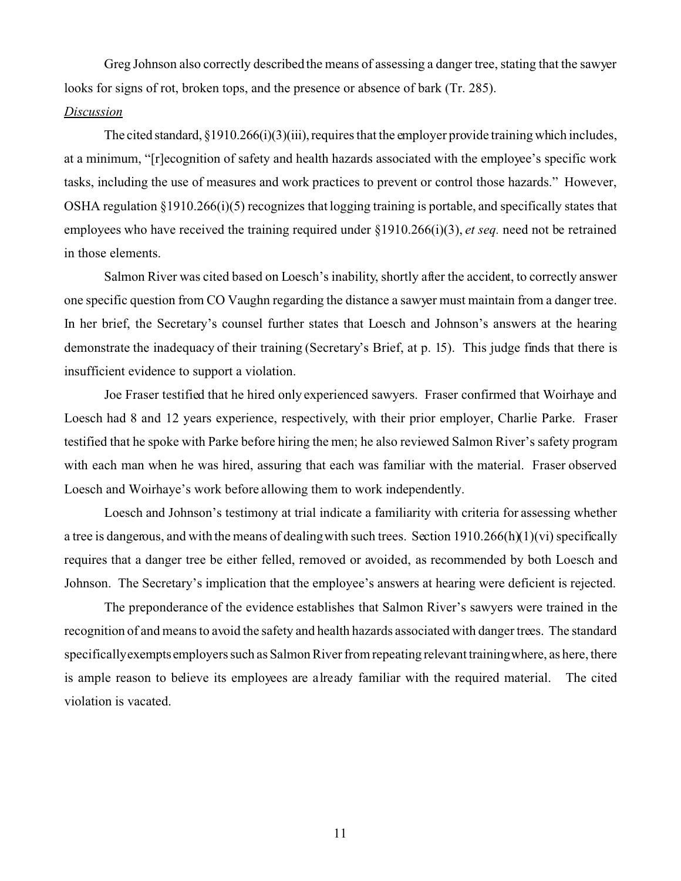Greg Johnson also correctly described the means of assessing a danger tree, stating that the sawyer looks for signs of rot, broken tops, and the presence or absence of bark (Tr. 285).

#### *Discussion*

The cited standard,  $\S 1910.266(i)(3)(iii)$ , requires that the employer provide training which includes, at a minimum, "[r]ecognition of safety and health hazards associated with the employee's specific work tasks, including the use of measures and work practices to prevent or control those hazards." However, OSHA regulation §1910.266(i)(5) recognizes that logging training is portable, and specifically states that employees who have received the training required under §1910.266(i)(3), *et seq.* need not be retrained in those elements.

Salmon River was cited based on Loesch's inability, shortly after the accident, to correctly answer one specific question from CO Vaughn regarding the distance a sawyer must maintain from a danger tree. In her brief, the Secretary's counsel further states that Loesch and Johnson's answers at the hearing demonstrate the inadequacy of their training (Secretary's Brief, at p. 15). This judge finds that there is insufficient evidence to support a violation.

Joe Fraser testified that he hired only experienced sawyers. Fraser confirmed that Woirhaye and Loesch had 8 and 12 years experience, respectively, with their prior employer, Charlie Parke. Fraser testified that he spoke with Parke before hiring the men; he also reviewed Salmon River's safety program with each man when he was hired, assuring that each was familiar with the material. Fraser observed Loesch and Woirhaye's work before allowing them to work independently.

Loesch and Johnson's testimony at trial indicate a familiarity with criteria for assessing whether a tree is dangerous, and with the means of dealingwith such trees. Section 1910.266(h)(1)(vi) specifically requires that a danger tree be either felled, removed or avoided, as recommended by both Loesch and Johnson. The Secretary's implication that the employee's answers at hearing were deficient is rejected.

The preponderance of the evidence establishes that Salmon River's sawyers were trained in the recognition of and means to avoid the safety and health hazards associated with danger trees. The standard specificallyexempts employers such as Salmon River from repeating relevant trainingwhere, as here, there is ample reason to believe its employees are already familiar with the required material. The cited violation is vacated.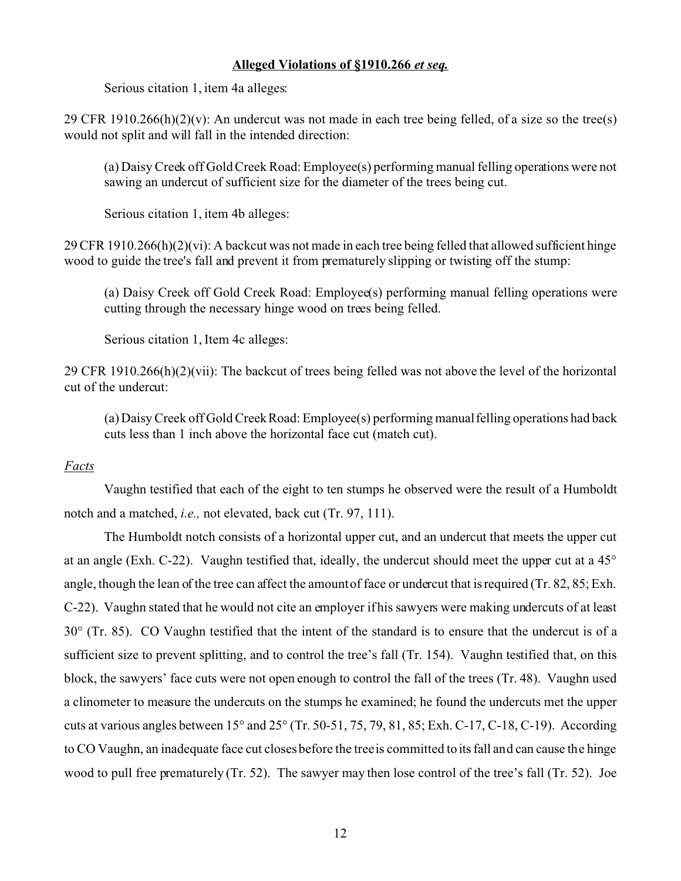### **Alleged Violations of §1910.266** *et seq.*

Serious citation 1, item 4a alleges:

29 CFR 1910.266(h)(2)(y): An undercut was not made in each tree being felled, of a size so the tree(s) would not split and will fall in the intended direction:

(a) Daisy Creek off Gold Creek Road: Employee(s) performing manual felling operations were not sawing an undercut of sufficient size for the diameter of the trees being cut.

Serious citation 1, item 4b alleges:

29 CFR 1910.266(h)(2)(vi): A backcut was not made in each tree being felled that allowed sufficient hinge wood to guide the tree's fall and prevent it from prematurely slipping or twisting off the stump:

(a) Daisy Creek off Gold Creek Road: Employee(s) performing manual felling operations were cutting through the necessary hinge wood on trees being felled.

Serious citation 1, Item 4c alleges:

29 CFR 1910.266(h)(2)(vii): The backcut of trees being felled was not above the level of the horizontal cut of the undercut:

(a) Daisy Creek off Gold Creek Road: Employee(s) performing manual felling operations had back cuts less than 1 inch above the horizontal face cut (match cut).

# *Facts*

Vaughn testified that each of the eight to ten stumps he observed were the result of a Humboldt notch and a matched, *i.e.,* not elevated, back cut (Tr. 97, 111).

The Humboldt notch consists of a horizontal upper cut, and an undercut that meets the upper cut at an angle (Exh. C-22). Vaughn testified that, ideally, the undercut should meet the upper cut at a 45° angle, though the lean of the tree can affect the amount of face or undercut that is required (Tr. 82, 85; Exh. C-22). Vaughn stated that he would not cite an employer if his sawyers were making undercuts of at least 30° (Tr. 85). CO Vaughn testified that the intent of the standard is to ensure that the undercut is of a sufficient size to prevent splitting, and to control the tree's fall (Tr. 154). Vaughn testified that, on this block, the sawyers' face cuts were not open enough to control the fall of the trees (Tr. 48). Vaughn used a clinometer to measure the undercuts on the stumps he examined; he found the undercuts met the upper cuts at various angles between 15° and 25° (Tr. 50-51, 75, 79, 81, 85; Exh. C-17, C-18, C-19). According to CO Vaughn, an inadequate face cut closes before the treeis committed to its fall and can cause the hinge wood to pull free prematurely (Tr. 52). The sawyer may then lose control of the tree's fall (Tr. 52). Joe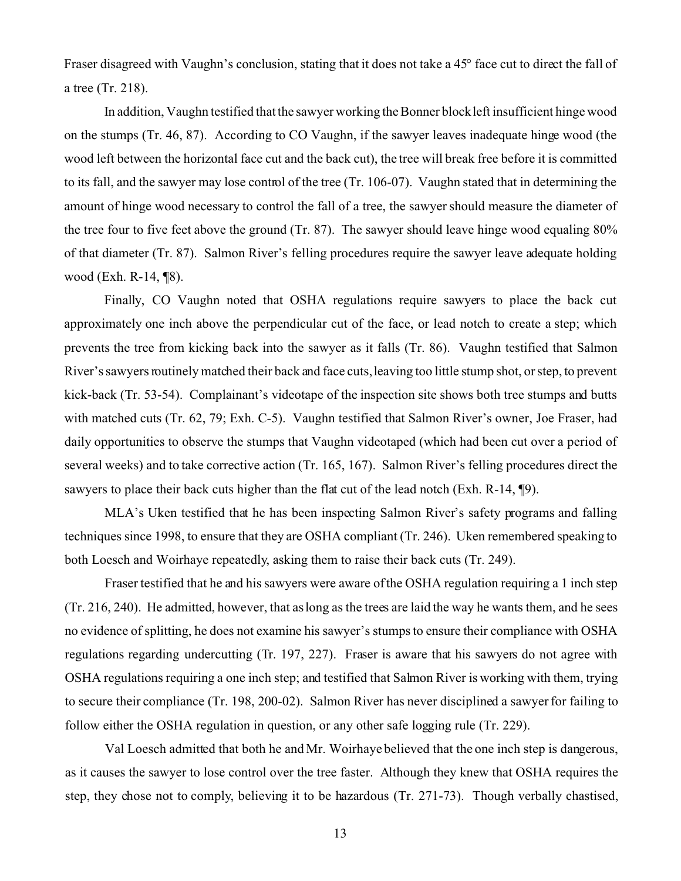Fraser disagreed with Vaughn's conclusion, stating that it does not take a 45° face cut to direct the fall of a tree (Tr. 218).

In addition, Vaughn testified that the sawyer working the Bonner block left insufficient hinge wood on the stumps (Tr. 46, 87). According to CO Vaughn, if the sawyer leaves inadequate hinge wood (the wood left between the horizontal face cut and the back cut), the tree will break free before it is committed to its fall, and the sawyer may lose control of the tree (Tr. 106-07). Vaughn stated that in determining the amount of hinge wood necessary to control the fall of a tree, the sawyer should measure the diameter of the tree four to five feet above the ground (Tr. 87). The sawyer should leave hinge wood equaling 80% of that diameter (Tr. 87). Salmon River's felling procedures require the sawyer leave adequate holding wood (Exh. R-14, ¶8).

Finally, CO Vaughn noted that OSHA regulations require sawyers to place the back cut approximately one inch above the perpendicular cut of the face, or lead notch to create a step; which prevents the tree from kicking back into the sawyer as it falls (Tr. 86). Vaughn testified that Salmon River's sawyers routinely matched their back and face cuts, leaving too little stump shot, or step, to prevent kick-back (Tr. 53-54). Complainant's videotape of the inspection site shows both tree stumps and butts with matched cuts (Tr. 62, 79; Exh. C-5). Vaughn testified that Salmon River's owner, Joe Fraser, had daily opportunities to observe the stumps that Vaughn videotaped (which had been cut over a period of several weeks) and to take corrective action (Tr. 165, 167). Salmon River's felling procedures direct the sawyers to place their back cuts higher than the flat cut of the lead notch (Exh. R-14, ¶9).

MLA's Uken testified that he has been inspecting Salmon River's safety programs and falling techniques since 1998, to ensure that they are OSHA compliant (Tr. 246). Uken remembered speaking to both Loesch and Woirhaye repeatedly, asking them to raise their back cuts (Tr. 249).

Fraser testified that he and his sawyers were aware of the OSHA regulation requiring a 1 inch step (Tr. 216, 240). He admitted, however, that as long as the trees are laid the way he wants them, and he sees no evidence of splitting, he does not examine his sawyer's stumps to ensure their compliance with OSHA regulations regarding undercutting (Tr. 197, 227). Fraser is aware that his sawyers do not agree with OSHA regulations requiring a one inch step; and testified that Salmon River is working with them, trying to secure their compliance (Tr. 198, 200-02). Salmon River has never disciplined a sawyer for failing to follow either the OSHA regulation in question, or any other safe logging rule (Tr. 229).

Val Loesch admitted that both he and Mr. Woirhaye believed that the one inch step is dangerous, as it causes the sawyer to lose control over the tree faster. Although they knew that OSHA requires the step, they chose not to comply, believing it to be hazardous (Tr. 271-73). Though verbally chastised,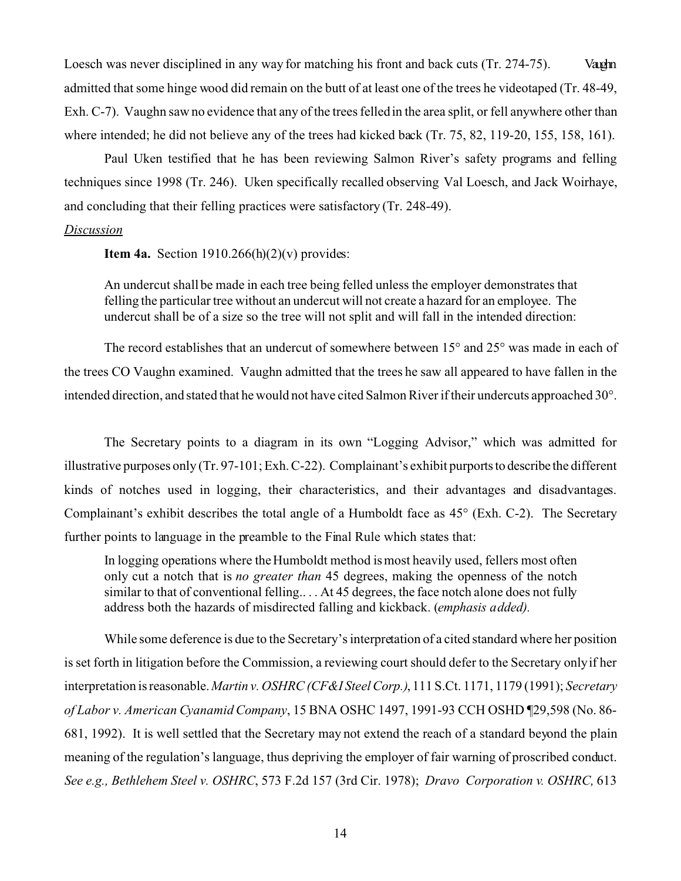Loesch was never disciplined in any way for matching his front and back cuts (Tr. 274-75). Vaughn admitted that some hinge wood did remain on the butt of at least one of the trees he videotaped (Tr. 48-49, Exh. C-7). Vaughn saw no evidence that any of the trees felled in the area split, or fell anywhere other than where intended; he did not believe any of the trees had kicked back (Tr. 75, 82, 119-20, 155, 158, 161).

Paul Uken testified that he has been reviewing Salmon River's safety programs and felling techniques since 1998 (Tr. 246). Uken specifically recalled observing Val Loesch, and Jack Woirhaye, and concluding that their felling practices were satisfactory (Tr. 248-49).

#### *Discussion*

**Item 4a.** Section  $1910.266(h)(2)(v)$  provides:

An undercut shall be made in each tree being felled unless the employer demonstrates that felling the particular tree without an undercut will not create a hazard for an employee. The undercut shall be of a size so the tree will not split and will fall in the intended direction:

The record establishes that an undercut of somewhere between 15° and 25° was made in each of the trees CO Vaughn examined. Vaughn admitted that the trees he saw all appeared to have fallen in the intended direction, and stated that he would not have cited Salmon River if their undercuts approached 30°.

The Secretary points to a diagram in its own "Logging Advisor," which was admitted for illustrative purposes only (Tr. 97-101; Exh. C-22). Complainant's exhibit purports to describe the different kinds of notches used in logging, their characteristics, and their advantages and disadvantages. Complainant's exhibit describes the total angle of a Humboldt face as 45° (Exh. C-2). The Secretary further points to language in the preamble to the Final Rule which states that:

In logging operations where the Humboldt method is most heavily used, fellers most often only cut a notch that is *no greater than* 45 degrees, making the openness of the notch similar to that of conventional felling.. . . At 45 degrees, the face notch alone does not fully address both the hazards of misdirected falling and kickback. (*emphasis added).* 

While some deference is due to the Secretary's interpretation of a cited standard where her position is set forth in litigation before the Commission, a reviewing court should defer to the Secretary only if her interpretation is reasonable. *Martin v. OSHRC (CF&I Steel Corp.)*, 111 S.Ct. 1171, 1179 (1991); *Secretary of Labor v. American Cyanamid Company*, 15 BNA OSHC 1497, 1991-93 CCH OSHD ¶29,598 (No. 86- 681, 1992). It is well settled that the Secretary may not extend the reach of a standard beyond the plain meaning of the regulation's language, thus depriving the employer of fair warning of proscribed conduct. *See e.g., Bethlehem Steel v. OSHRC*, 573 F.2d 157 (3rd Cir. 1978); *Dravo Corporation v. OSHRC,* 613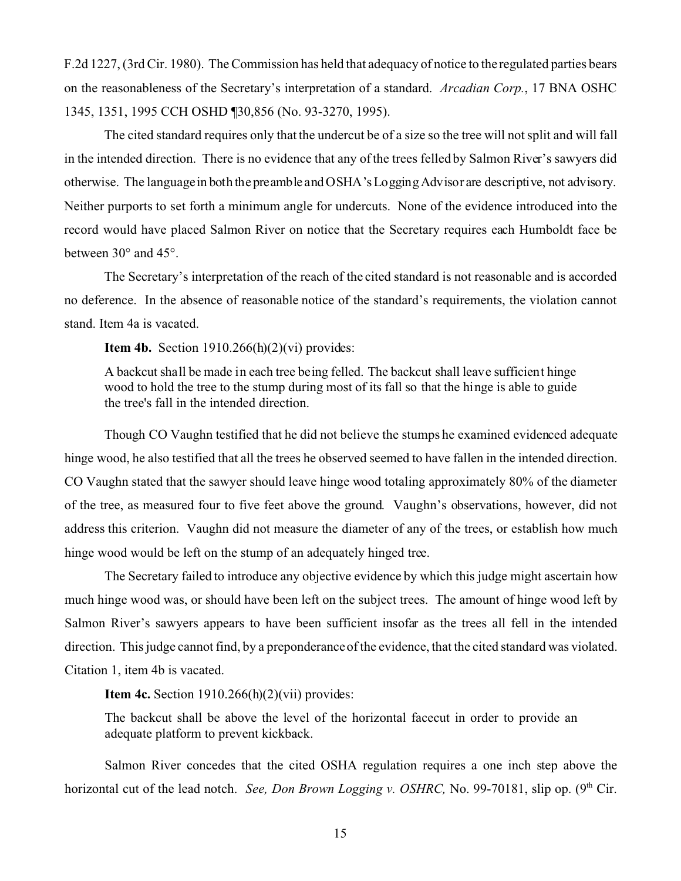F.2d 1227, (3rd Cir. 1980). The Commission has held that adequacy of notice to the regulated parties bears on the reasonableness of the Secretary's interpretation of a standard. *Arcadian Corp.*, 17 BNA OSHC 1345, 1351, 1995 CCH OSHD ¶30,856 (No. 93-3270, 1995).

The cited standard requires only that the undercut be of a size so the tree will not split and will fall in the intended direction. There is no evidence that any of the trees felled by Salmon River's sawyers did otherwise. The languagein both the preamble and OSHA's Logging Advisor are descriptive, not advisory. Neither purports to set forth a minimum angle for undercuts. None of the evidence introduced into the record would have placed Salmon River on notice that the Secretary requires each Humboldt face be between 30° and 45°.

The Secretary's interpretation of the reach of the cited standard is not reasonable and is accorded no deference. In the absence of reasonable notice of the standard's requirements, the violation cannot stand. Item 4a is vacated.

**Item 4b.** Section 1910.266(h)(2)(vi) provides:

A backcut shall be made in each tree being felled. The backcut shall leave sufficient hinge wood to hold the tree to the stump during most of its fall so that the hinge is able to guide the tree's fall in the intended direction.

Though CO Vaughn testified that he did not believe the stumps he examined evidenced adequate hinge wood, he also testified that all the trees he observed seemed to have fallen in the intended direction. CO Vaughn stated that the sawyer should leave hinge wood totaling approximately 80% of the diameter of the tree, as measured four to five feet above the ground. Vaughn's observations, however, did not address this criterion. Vaughn did not measure the diameter of any of the trees, or establish how much hinge wood would be left on the stump of an adequately hinged tree.

The Secretary failed to introduce any objective evidence by which this judge might ascertain how much hinge wood was, or should have been left on the subject trees. The amount of hinge wood left by Salmon River's sawyers appears to have been sufficient insofar as the trees all fell in the intended direction. This judge cannot find, by a preponderance of the evidence, that the cited standard was violated. Citation 1, item 4b is vacated.

**Item 4c.** Section 1910.266(h)(2)(vii) provides:

The backcut shall be above the level of the horizontal facecut in order to provide an adequate platform to prevent kickback.

Salmon River concedes that the cited OSHA regulation requires a one inch step above the horizontal cut of the lead notch. *See, Don Brown Logging v. OSHRC*, No. 99-70181, slip op. (9<sup>th</sup> Cir.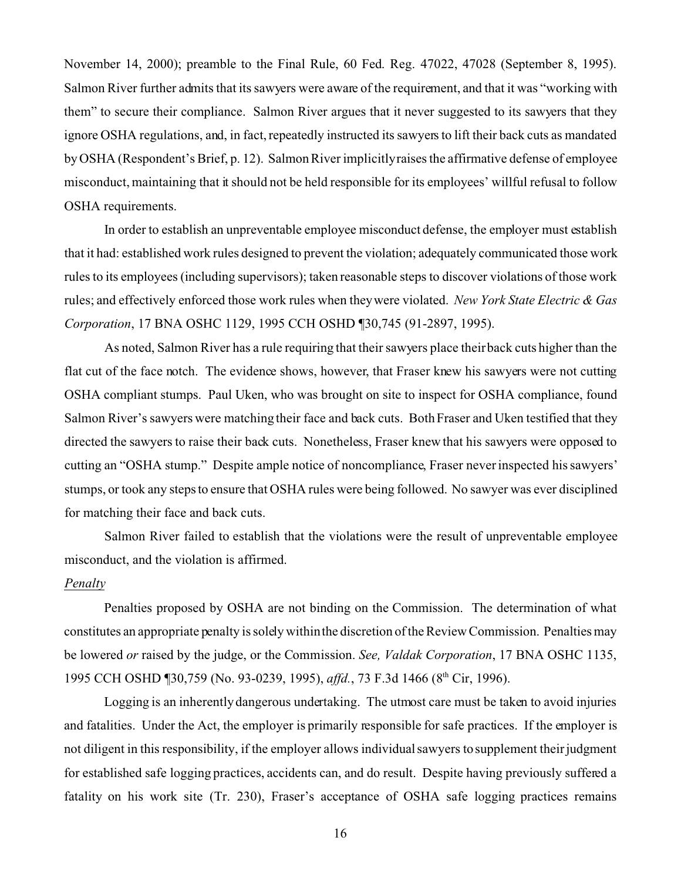November 14, 2000); preamble to the Final Rule, 60 Fed. Reg. 47022, 47028 (September 8, 1995). Salmon River further admits that its sawyers were aware of the requirement, and that it was "working with them" to secure their compliance. Salmon River argues that it never suggested to its sawyers that they ignore OSHA regulations, and, in fact, repeatedly instructed its sawyers to lift their back cuts as mandated by OSHA (Respondent's Brief, p. 12). Salmon River implicitlyraises the affirmative defense of employee misconduct, maintaining that it should not be held responsible for its employees' willful refusal to follow OSHA requirements.

In order to establish an unpreventable employee misconduct defense, the employer must establish that it had: established work rules designed to prevent the violation; adequately communicated those work rules to its employees (including supervisors); taken reasonable steps to discover violations of those work rules; and effectively enforced those work rules when they were violated. *New York State Electric & Gas Corporation*, 17 BNA OSHC 1129, 1995 CCH OSHD ¶30,745 (91-2897, 1995).

As noted, Salmon River has a rule requiring that their sawyers place their back cuts higher than the flat cut of the face notch. The evidence shows, however, that Fraser knew his sawyers were not cutting OSHA compliant stumps. Paul Uken, who was brought on site to inspect for OSHA compliance, found Salmon River's sawyers were matching their face and back cuts. Both Fraser and Uken testified that they directed the sawyers to raise their back cuts. Nonetheless, Fraser knew that his sawyers were opposed to cutting an "OSHA stump." Despite ample notice of noncompliance, Fraser never inspected his sawyers' stumps, or took any steps to ensure that OSHA rules were being followed. No sawyer was ever disciplined for matching their face and back cuts.

Salmon River failed to establish that the violations were the result of unpreventable employee misconduct, and the violation is affirmed.

#### *Penalty*

Penalties proposed by OSHA are not binding on the Commission. The determination of what constitutes an appropriate penalty is solely within the discretion of the Review Commission. Penalties may be lowered *or* raised by the judge, or the Commission. *See, Valdak Corporation*, 17 BNA OSHC 1135, 1995 CCH OSHD ¶30,759 (No. 93-0239, 1995), affd., 73 F.3d 1466 (8<sup>th</sup> Cir, 1996).

Logging is an inherently dangerous undertaking. The utmost care must be taken to avoid injuries and fatalities. Under the Act, the employer is primarily responsible for safe practices. If the employer is not diligent in this responsibility, if the employer allows individual sawyers to supplement their judgment for established safe logging practices, accidents can, and do result. Despite having previously suffered a fatality on his work site (Tr. 230), Fraser's acceptance of OSHA safe logging practices remains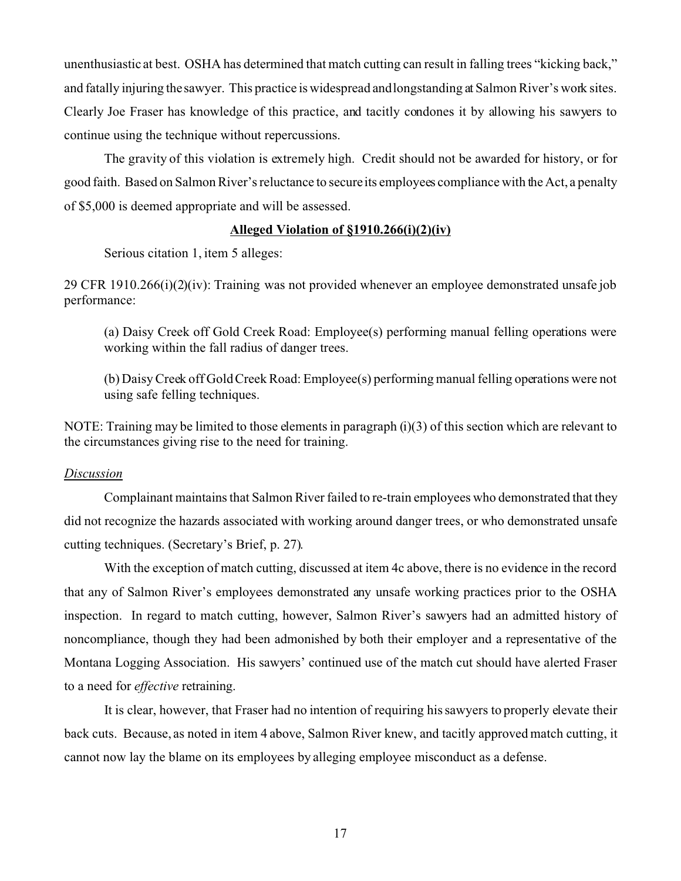unenthusiastic at best. OSHA has determined that match cutting can result in falling trees "kicking back," and fatally injuring the sawyer. This practice is widespread and longstanding at Salmon River's work sites. Clearly Joe Fraser has knowledge of this practice, and tacitly condones it by allowing his sawyers to continue using the technique without repercussions.

The gravity of this violation is extremely high. Credit should not be awarded for history, or for good faith. Based on Salmon River's reluctance to secure its employees compliance with the Act, a penalty of \$5,000 is deemed appropriate and will be assessed.

## **Alleged Violation of §1910.266(i)(2)(iv)**

Serious citation 1, item 5 alleges:

29 CFR 1910.266(i)(2)(iv): Training was not provided whenever an employee demonstrated unsafe job performance:

(a) Daisy Creek off Gold Creek Road: Employee(s) performing manual felling operations were working within the fall radius of danger trees.

(b) Daisy Creek off Gold Creek Road: Employee(s) performing manual felling operations were not using safe felling techniques.

NOTE: Training may be limited to those elements in paragraph (i)(3) of this section which are relevant to the circumstances giving rise to the need for training.

#### *Discussion*

Complainant maintains that Salmon River failed to re-train employees who demonstrated that they did not recognize the hazards associated with working around danger trees, or who demonstrated unsafe cutting techniques. (Secretary's Brief, p. 27).

With the exception of match cutting, discussed at item 4c above, there is no evidence in the record that any of Salmon River's employees demonstrated any unsafe working practices prior to the OSHA inspection. In regard to match cutting, however, Salmon River's sawyers had an admitted history of noncompliance, though they had been admonished by both their employer and a representative of the Montana Logging Association. His sawyers' continued use of the match cut should have alerted Fraser to a need for *effective* retraining.

It is clear, however, that Fraser had no intention of requiring his sawyers to properly elevate their back cuts. Because, as noted in item 4 above, Salmon River knew, and tacitly approved match cutting, it cannot now lay the blame on its employees by alleging employee misconduct as a defense.